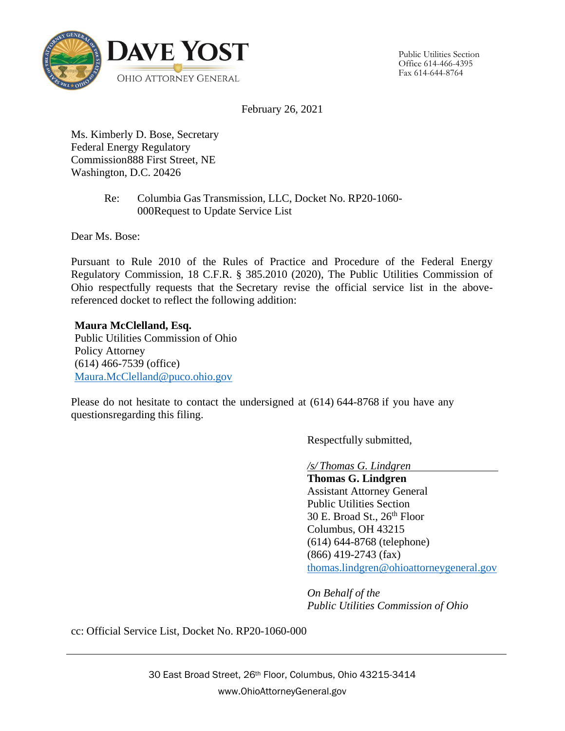

Public Utilities Section Office 614-466-4395 Fax 614-644-8764

February 26, 2021

Ms. Kimberly D. Bose, Secretary Federal Energy Regulatory Commission888 First Street, NE Washington, D.C. 20426

> Re: Columbia Gas Transmission, LLC, Docket No. RP20-1060- 000Request to Update Service List

Dear Ms. Bose:

Pursuant to Rule 2010 of the Rules of Practice and Procedure of the Federal Energy Regulatory Commission, 18 C.F.R. § 385.2010 (2020), The Public Utilities Commission of Ohio respectfully requests that the Secretary revise the official service list in the abovereferenced docket to reflect the following addition:

**Maura McClelland, Esq.** Public Utilities Commission of Ohio Policy Attorney (614) 466-7539 (office) [Maura.McClelland@puco.ohio.gov](mailto:Maura.McClelland@puco.ohio.gov)

Please do not hesitate to contact the undersigned at (614) 644-8768 if you have any questionsregarding this filing.

Respectfully submitted,

*/s/ Thomas G. Lindgren*

**Thomas G. Lindgren** Assistant Attorney General Public Utilities Section 30 E. Broad St.,  $26<sup>th</sup>$  Floor Columbus, OH 43215 (614) 644-8768 (telephone) (866) 419-2743 (fax) [thomas.lindgren@ohioattorneygeneral.gov](mailto:thomas.lindgren@ohioattorneygeneral.gov)

*On Behalf of the Public Utilities Commission of Ohio*

cc: Official Service List, Docket No. RP20-1060-000

30 East Broad Street, 26th Floor, Columbus, Ohio 43215-3414 www.OhioAttorneyGeneral.gov